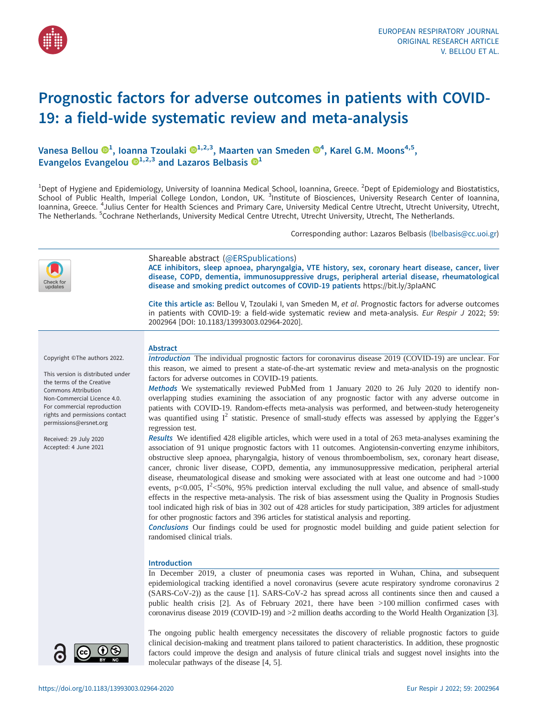

# Prognostic factors for adverse outcomes in patients with COVID-19: a field-wide systematic review and meta-analysis

Vanesa Bellou  $\mathbf{D}^{1},$  $\mathbf{D}^{1},$  $\mathbf{D}^{1},$  Ioanna Tzoulaki  $\mathbf{D}^{1,2,3},$  Maarten van Smeden  $\mathbf{D}^{4},$  $\mathbf{D}^{4},$  $\mathbf{D}^{4},$  Karel G.M. Moons $^{4,5},$ Evangelos Evangelou  $\mathbb{D}^{1,2,3}$  and Lazaros Belbasis  $\mathbb{D}^1$ 

<sup>1</sup>Dept of Hygiene and Epidemiology, University of Ioannina Medical School, Ioannina, Greece. <sup>2</sup>Dept of Epidemiology and Biostatistics, School of Public Health, Imperial College London, London, UK. <sup>3</sup>Institute of Biosciences, University Research Center of Ioannina, Ioannina, Greece. <sup>4</sup>Julius Center for Health Sciences and Primary Care, University Medical Centre Utrecht, Utrecht University, Utrecht, The Netherlands. <sup>5</sup>Cochrane Netherlands, University Medical Centre Utrecht, Utrecht University, Utrecht, The Netherlands.

Corresponding author: Lazaros Belbasis ([lbelbasis@cc.uoi.gr](mailto:lbelbasis@cc.uoi.gr))

| Check for<br>updates                                                                                                                                                                                                                                                                                      | Shareable abstract (@ERSpublications)<br>ACE inhibitors, sleep apnoea, pharyngalgia, VTE history, sex, coronary heart disease, cancer, liver<br>disease, COPD, dementia, immunosuppressive drugs, peripheral arterial disease, rheumatological<br>disease and smoking predict outcomes of COVID-19 patients https://bit.ly/3plaANC<br>Cite this article as: Bellou V, Tzoulaki I, van Smeden M, et al. Prognostic factors for adverse outcomes<br>in patients with COVID-19: a field-wide systematic review and meta-analysis. Eur Respir J 2022; 59:<br>2002964 [DOI: 10.1183/13993003.02964-2020].                                                                                                                                                                                                                                                                                                                                                                                                                                                                                                                                                                                                                                                                                                                                                                                                                                                                                                                                                                                                                                                                                                                                                                                                                                                                               |
|-----------------------------------------------------------------------------------------------------------------------------------------------------------------------------------------------------------------------------------------------------------------------------------------------------------|------------------------------------------------------------------------------------------------------------------------------------------------------------------------------------------------------------------------------------------------------------------------------------------------------------------------------------------------------------------------------------------------------------------------------------------------------------------------------------------------------------------------------------------------------------------------------------------------------------------------------------------------------------------------------------------------------------------------------------------------------------------------------------------------------------------------------------------------------------------------------------------------------------------------------------------------------------------------------------------------------------------------------------------------------------------------------------------------------------------------------------------------------------------------------------------------------------------------------------------------------------------------------------------------------------------------------------------------------------------------------------------------------------------------------------------------------------------------------------------------------------------------------------------------------------------------------------------------------------------------------------------------------------------------------------------------------------------------------------------------------------------------------------------------------------------------------------------------------------------------------------|
| Copyright ©The authors 2022.<br>This version is distributed under<br>the terms of the Creative<br><b>Commons Attribution</b><br>Non-Commercial Licence 4.0.<br>For commercial reproduction<br>rights and permissions contact<br>permissions@ersnet.org<br>Received: 29 July 2020<br>Accepted: 4 June 2021 | <b>Abstract</b><br>Introduction The individual prognostic factors for coronavirus disease 2019 (COVID-19) are unclear. For<br>this reason, we aimed to present a state-of-the-art systematic review and meta-analysis on the prognostic<br>factors for adverse outcomes in COVID-19 patients.<br>Methods We systematically reviewed PubMed from 1 January 2020 to 26 July 2020 to identify non-<br>overlapping studies examining the association of any prognostic factor with any adverse outcome in<br>patients with COVID-19. Random-effects meta-analysis was performed, and between-study heterogeneity<br>was quantified using $I^2$ statistic. Presence of small-study effects was assessed by applying the Egger's<br>regression test.<br>Results We identified 428 eligible articles, which were used in a total of 263 meta-analyses examining the<br>association of 91 unique prognostic factors with 11 outcomes. Angiotensin-converting enzyme inhibitors,<br>obstructive sleep apnoea, pharyngalgia, history of venous thromboembolism, sex, coronary heart disease,<br>cancer, chronic liver disease, COPD, dementia, any immunosuppressive medication, peripheral arterial<br>disease, rheumatological disease and smoking were associated with at least one outcome and had >1000<br>events, p<0.005, $I^2$ <50%, 95% prediction interval excluding the null value, and absence of small-study<br>effects in the respective meta-analysis. The risk of bias assessment using the Quality in Prognosis Studies<br>tool indicated high risk of bias in 302 out of 428 articles for study participation, 389 articles for adjustment<br>for other prognostic factors and 396 articles for statistical analysis and reporting.<br>Conclusions Our findings could be used for prognostic model building and guide patient selection for<br>randomised clinical trials. |
|                                                                                                                                                                                                                                                                                                           | <b>Introduction</b><br>In December 2019, a cluster of pneumonia cases was reported in Wuhan, China, and subsequent<br>epidemiological tracking identified a novel coronavirus (severe acute respiratory syndrome coronavirus 2<br>(SARS-CoV-2)) as the cause [1]. SARS-CoV-2 has spread across all continents since then and caused a<br>public health crisis [2]. As of February 2021, there have been >100 million confirmed cases with<br>coronavirus disease 2019 (COVID-19) and >2 million deaths according to the World Health Organization [3].                                                                                                                                                                                                                                                                                                                                                                                                                                                                                                                                                                                                                                                                                                                                                                                                                                                                                                                                                                                                                                                                                                                                                                                                                                                                                                                             |
| $\odot$ $\odot$                                                                                                                                                                                                                                                                                           | The ongoing public health emergency necessitates the discovery of reliable prognostic factors to guide<br>clinical decision-making and treatment plans tailored to patient characteristics. In addition, these prognostic<br>factors could improve the design and analysis of future clinical trials and suggest novel insights into the                                                                                                                                                                                                                                                                                                                                                                                                                                                                                                                                                                                                                                                                                                                                                                                                                                                                                                                                                                                                                                                                                                                                                                                                                                                                                                                                                                                                                                                                                                                                           |

molecular pathways of the disease [\[4, 5](#page-9-0)].

BY NC

 $\bullet$   $\bullet$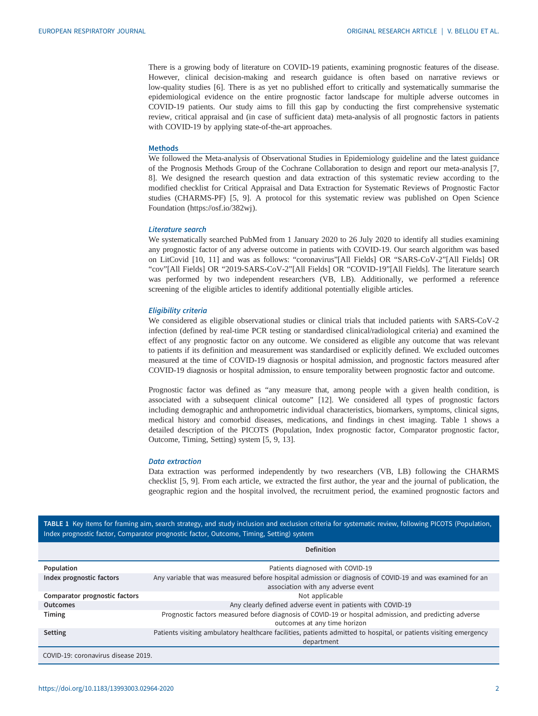There is a growing body of literature on COVID-19 patients, examining prognostic features of the disease. However, clinical decision-making and research guidance is often based on narrative reviews or low-quality studies [[6](#page-9-0)]. There is as yet no published effort to critically and systematically summarise the epidemiological evidence on the entire prognostic factor landscape for multiple adverse outcomes in COVID-19 patients. Our study aims to fill this gap by conducting the first comprehensive systematic review, critical appraisal and (in case of sufficient data) meta-analysis of all prognostic factors in patients with COVID-19 by applying state-of-the-art approaches.

# Methods

We followed the Meta-analysis of Observational Studies in Epidemiology guideline and the latest guidance of the Prognosis Methods Group of the Cochrane Collaboration to design and report our meta-analysis [[7](#page-9-0), [8](#page-9-0)]. We designed the research question and data extraction of this systematic review according to the modified checklist for Critical Appraisal and Data Extraction for Systematic Reviews of Prognostic Factor studies (CHARMS-PF) [[5](#page-9-0), [9](#page-9-0)]. A protocol for this systematic review was published on Open Science Foundation (<https://osf.io/382wj>).

#### Literature search

We systematically searched PubMed from 1 January 2020 to 26 July 2020 to identify all studies examining any prognostic factor of any adverse outcome in patients with COVID-19. Our search algorithm was based on LitCovid [[10, 11\]](#page-9-0) and was as follows: "coronavirus"[All Fields] OR "SARS-CoV-2"[All Fields] OR "cov"[All Fields] OR "2019-SARS-CoV-2"[All Fields] OR "COVID-19"[All Fields]. The literature search was performed by two independent researchers (VB, LB). Additionally, we performed a reference screening of the eligible articles to identify additional potentially eligible articles.

# Eligibility criteria

We considered as eligible observational studies or clinical trials that included patients with SARS-CoV-2 infection (defined by real-time PCR testing or standardised clinical/radiological criteria) and examined the effect of any prognostic factor on any outcome. We considered as eligible any outcome that was relevant to patients if its definition and measurement was standardised or explicitly defined. We excluded outcomes measured at the time of COVID-19 diagnosis or hospital admission, and prognostic factors measured after COVID-19 diagnosis or hospital admission, to ensure temporality between prognostic factor and outcome.

Prognostic factor was defined as "any measure that, among people with a given health condition, is associated with a subsequent clinical outcome" [\[12](#page-9-0)]. We considered all types of prognostic factors including demographic and anthropometric individual characteristics, biomarkers, symptoms, clinical signs, medical history and comorbid diseases, medications, and findings in chest imaging. Table 1 shows a detailed description of the PICOTS (Population, Index prognostic factor, Comparator prognostic factor, Outcome, Timing, Setting) system [[5](#page-9-0), [9, 13\]](#page-9-0).

# Data extraction

Data extraction was performed independently by two researchers (VB, LB) following the CHARMS checklist [\[5, 9](#page-9-0)]. From each article, we extracted the first author, the year and the journal of publication, the geographic region and the hospital involved, the recruitment period, the examined prognostic factors and

TABLE 1 Key items for framing aim, search strategy, and study inclusion and exclusion criteria for systematic review, following PICOTS (Population, Index prognostic factor, Comparator prognostic factor, Outcome, Timing, Setting) system

|                                     | <b>Definition</b>                                                                                                                      |  |  |  |
|-------------------------------------|----------------------------------------------------------------------------------------------------------------------------------------|--|--|--|
| Population                          | Patients diagnosed with COVID-19                                                                                                       |  |  |  |
| Index prognostic factors            | Any variable that was measured before hospital admission or diagnosis of COVID-19 and was examined for an                              |  |  |  |
|                                     | association with any adverse event                                                                                                     |  |  |  |
| Comparator prognostic factors       | Not applicable                                                                                                                         |  |  |  |
| <b>Outcomes</b>                     | Any clearly defined adverse event in patients with COVID-19                                                                            |  |  |  |
| Timing                              | Prognostic factors measured before diagnosis of COVID-19 or hospital admission, and predicting adverse<br>outcomes at any time horizon |  |  |  |
| <b>Setting</b>                      | Patients visiting ambulatory healthcare facilities, patients admitted to hospital, or patients visiting emergency<br>department        |  |  |  |
| COVID-19: coronavirus disease 2019. |                                                                                                                                        |  |  |  |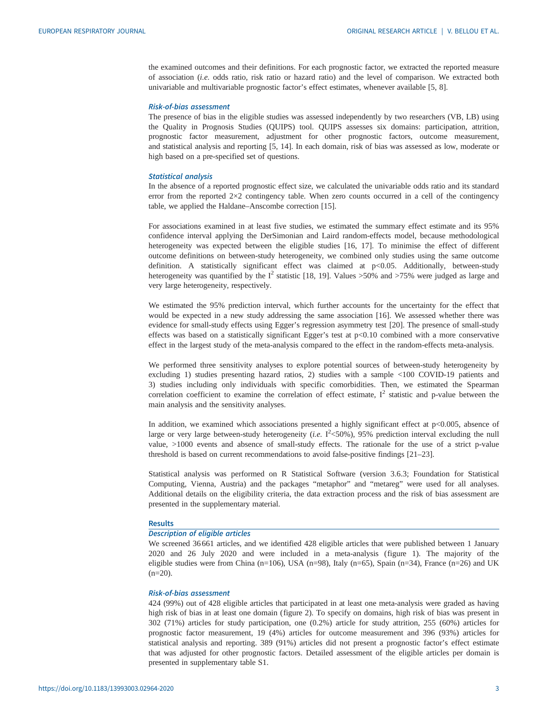the examined outcomes and their definitions. For each prognostic factor, we extracted the reported measure of association (i.e. odds ratio, risk ratio or hazard ratio) and the level of comparison. We extracted both univariable and multivariable prognostic factor's effect estimates, whenever available [\[5, 8\]](#page-9-0).

#### Risk-of-bias assessment

The presence of bias in the eligible studies was assessed independently by two researchers (VB, LB) using the Quality in Prognosis Studies (QUIPS) tool. QUIPS assesses six domains: participation, attrition, prognostic factor measurement, adjustment for other prognostic factors, outcome measurement, and statistical analysis and reporting [\[5, 14\]](#page-9-0). In each domain, risk of bias was assessed as low, moderate or high based on a pre-specified set of questions.

# Statistical analysis

In the absence of a reported prognostic effect size, we calculated the univariable odds ratio and its standard error from the reported 2×2 contingency table. When zero counts occurred in a cell of the contingency table, we applied the Haldane–Anscombe correction [[15\]](#page-9-0).

For associations examined in at least five studies, we estimated the summary effect estimate and its 95% confidence interval applying the DerSimonian and Laird random-effects model, because methodological heterogeneity was expected between the eligible studies [\[16](#page-9-0), [17\]](#page-9-0). To minimise the effect of different outcome definitions on between-study heterogeneity, we combined only studies using the same outcome definition. A statistically significant effect was claimed at p<0.05. Additionally, between-study heterogeneity was quantified by the  $I^2$  statistic [\[18](#page-9-0), [19\]](#page-9-0). Values >50% and >75% were judged as large and very large heterogeneity, respectively.

We estimated the 95% prediction interval, which further accounts for the uncertainty for the effect that would be expected in a new study addressing the same association [\[16](#page-9-0)]. We assessed whether there was evidence for small-study effects using Egger's regression asymmetry test [\[20](#page-9-0)]. The presence of small-study effects was based on a statistically significant Egger's test at p<0.10 combined with a more conservative effect in the largest study of the meta-analysis compared to the effect in the random-effects meta-analysis.

We performed three sensitivity analyses to explore potential sources of between-study heterogeneity by excluding 1) studies presenting hazard ratios, 2) studies with a sample <100 COVID-19 patients and 3) studies including only individuals with specific comorbidities. Then, we estimated the Spearman correlation coefficient to examine the correlation of effect estimate,  $I^2$  statistic and p-value between the main analysis and the sensitivity analyses.

In addition, we examined which associations presented a highly significant effect at  $p$ <0.005, absence of large or very large between-study heterogeneity (*i.e.*  $I^2$ <50%), 95% prediction interval excluding the null value, >1000 events and absence of small-study effects. The rationale for the use of a strict p-value threshold is based on current recommendations to avoid false-positive findings [\[21](#page-9-0)–[23\]](#page-9-0).

Statistical analysis was performed on R Statistical Software (version 3.6.3; Foundation for Statistical Computing, Vienna, Austria) and the packages "metaphor" and "metareg" were used for all analyses. Additional details on the eligibility criteria, the data extraction process and the risk of bias assessment are presented in the [supplementary material](http://erj.ersjournals.com/lookup/doi/10.1183/13993003.02964-2020.figures-only#fig-data-supplementary-materials).

# Results

# Description of eligible articles

We screened 36 661 articles, and we identified 428 eligible articles that were published between 1 January 2020 and 26 July 2020 and were included in a meta-analysis [\(figure 1\)](#page-3-0). The majority of the eligible studies were from China (n=106), USA (n=98), Italy (n=65), Spain (n=34), France (n=26) and UK  $(n=20)$ .

# Risk-of-bias assessment

424 (99%) out of 428 eligible articles that participated in at least one meta-analysis were graded as having high risk of bias in at least one domain [\(figure 2](#page-4-0)). To specify on domains, high risk of bias was present in 302 (71%) articles for study participation, one (0.2%) article for study attrition, 255 (60%) articles for prognostic factor measurement, 19 (4%) articles for outcome measurement and 396 (93%) articles for statistical analysis and reporting. 389 (91%) articles did not present a prognostic factor's effect estimate that was adjusted for other prognostic factors. Detailed assessment of the eligible articles per domain is presented in [supplementary table S1](http://erj.ersjournals.com/lookup/doi/10.1183/13993003.02964-2020.figures-only#fig-data-supplementary-materials).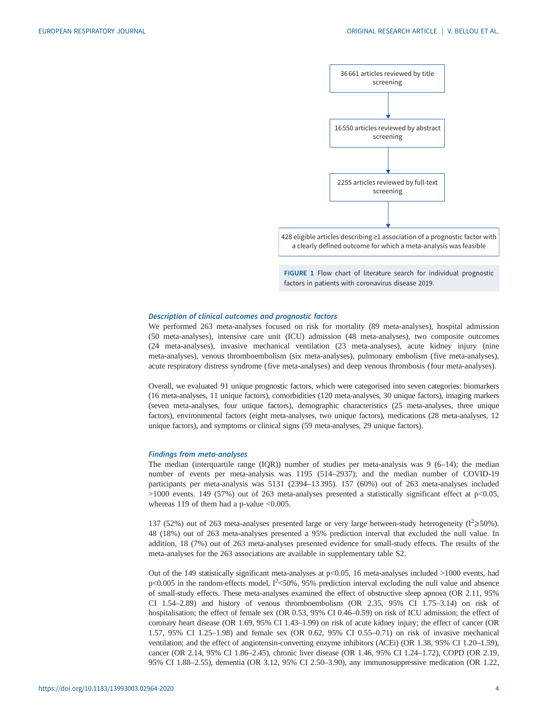<span id="page-3-0"></span>



#### Description of clinical outcomes and prognostic factors

We performed 263 meta-analyses focused on risk for mortality (89 meta-analyses), hospital admission (50 meta-analyses), intensive care unit (ICU) admission (48 meta-analyses), two composite outcomes (24 meta-analyses), invasive mechanical ventilation (23 meta-analyses), acute kidney injury (nine meta-analyses), venous thromboembolism (six meta-analyses), pulmonary embolism (five meta-analyses), acute respiratory distress syndrome (five meta-analyses) and deep venous thrombosis (four meta-analyses).

Overall, we evaluated 91 unique prognostic factors, which were categorised into seven categories: biomarkers (16 meta-analyses, 11 unique factors), comorbidities (120 meta-analyses, 30 unique factors), imaging markers (seven meta-analyses, four unique factors), demographic characteristics (25 meta-analyses, three unique factors), environmental factors (eight meta-analyses, two unique factors), medications (28 meta-analyses, 12 unique factors), and symptoms or clinical signs (59 meta-analyses, 29 unique factors).

#### Findings from meta-analyses

The median (interquartile range  $(IQR)$ ) number of studies per meta-analysis was 9 (6–14); the median number of events per meta-analysis was 1195 (514–2937); and the median number of COVID-19 participants per meta-analysis was 5131 (2394–13 395). 157 (60%) out of 263 meta-analyses included >1000 events. 149 (57%) out of 263 meta-analyses presented a statistically significant effect at p<0.05, whereas 119 of them had a p-value <0.005.

137 (52%) out of 263 meta-analyses presented large or very large between-study heterogeneity ( $I^2 \ge 50\%$ ). 48 (18%) out of 263 meta-analyses presented a 95% prediction interval that excluded the null value. In addition, 18 (7%) out of 263 meta-analyses presented evidence for small-study effects. The results of the meta-analyses for the 263 associations are available in [supplementary table S2.](http://erj.ersjournals.com/lookup/doi/10.1183/13993003.02964-2020.figures-only#fig-data-supplementary-materials)

Out of the 149 statistically significant meta-analyses at p<0.05, 16 meta-analyses included >1000 events, had  $p$ <0.005 in the random-effects model,  $I<sup>2</sup>$ <50%, 95% prediction interval excluding the null value and absence of small-study effects. These meta-analyses examined the effect of obstructive sleep apnoea (OR 2.11, 95% CI 1.54–2.89) and history of venous thromboembolism (OR 2.35, 95% CI 1.75–3.14) on risk of hospitalisation; the effect of female sex (OR 0.53, 95% CI 0.46–0.59) on risk of ICU admission; the effect of coronary heart disease (OR 1.69, 95% CI 1.43–1.99) on risk of acute kidney injury; the effect of cancer (OR 1.57, 95% CI 1.25–1.98) and female sex (OR 0.62, 95% CI 0.55–0.71) on risk of invasive mechanical ventilation; and the effect of angiotensin-converting enzyme inhibitors (ACEi) (OR 1.38, 95% CI 1.20–1.59), cancer (OR 2.14, 95% CI 1.86–2.45), chronic liver disease (OR 1.46, 95% CI 1.24–1.72), COPD (OR 2.19, 95% CI 1.88–2.55), dementia (OR 3.12, 95% CI 2.50–3.90), any immunosuppressive medication (OR 1.22,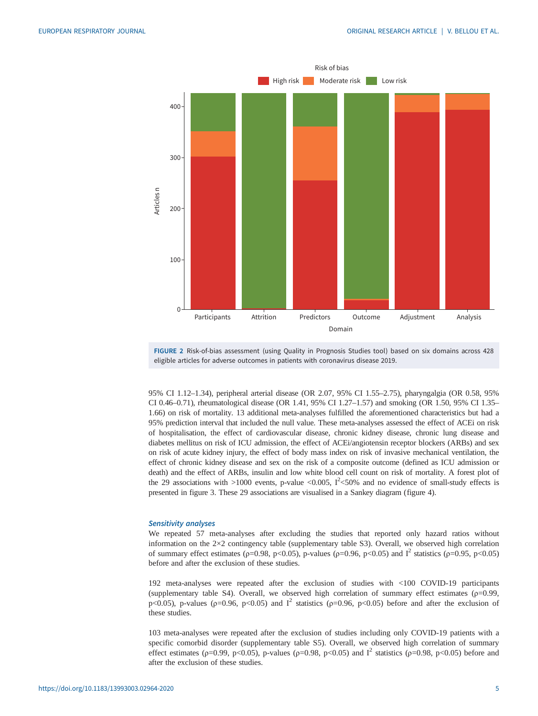<span id="page-4-0"></span>

FIGURE 2 Risk-of-bias assessment (using Quality in Prognosis Studies tool) based on six domains across 428 eligible articles for adverse outcomes in patients with coronavirus disease 2019.

95% CI 1.12–1.34), peripheral arterial disease (OR 2.07, 95% CI 1.55–2.75), pharyngalgia (OR 0.58, 95% CI 0.46–0.71), rheumatological disease (OR 1.41, 95% CI 1.27–1.57) and smoking (OR 1.50, 95% CI 1.35– 1.66) on risk of mortality. 13 additional meta-analyses fulfilled the aforementioned characteristics but had a 95% prediction interval that included the null value. These meta-analyses assessed the effect of ACEi on risk of hospitalisation, the effect of cardiovascular disease, chronic kidney disease, chronic lung disease and diabetes mellitus on risk of ICU admission, the effect of ACEi/angiotensin receptor blockers (ARBs) and sex on risk of acute kidney injury, the effect of body mass index on risk of invasive mechanical ventilation, the effect of chronic kidney disease and sex on the risk of a composite outcome (defined as ICU admission or death) and the effect of ARBs, insulin and low white blood cell count on risk of mortality. A forest plot of the 29 associations with  $>$ 1000 events, p-value <0.005,  $I<sup>2</sup>$ <50% and no evidence of small-study effects is presented in [figure 3](#page-5-0). These 29 associations are visualised in a Sankey diagram [\(figure 4](#page-6-0)).

#### Sensitivity analyses

We repeated 57 meta-analyses after excluding the studies that reported only hazard ratios without information on the 2×2 contingency table [\(supplementary table S3\)](http://erj.ersjournals.com/lookup/doi/10.1183/13993003.02964-2020.figures-only#fig-data-supplementary-materials). Overall, we observed high correlation of summary effect estimates (ρ=0.98, p<0.05), p-values (ρ=0.96, p<0.05) and I<sup>2</sup> statistics (ρ=0.95, p<0.05) before and after the exclusion of these studies.

192 meta-analyses were repeated after the exclusion of studies with <100 COVID-19 participants [\(supplementary table S4](http://erj.ersjournals.com/lookup/doi/10.1183/13993003.02964-2020.figures-only#fig-data-supplementary-materials)). Overall, we observed high correlation of summary effect estimates ( $\rho$ =0.99, p<0.05), p-values ( $p=0.96$ ,  $p<0.05$ ) and  $I^2$  statistics ( $p=0.96$ ,  $p<0.05$ ) before and after the exclusion of these studies.

103 meta-analyses were repeated after the exclusion of studies including only COVID-19 patients with a specific comorbid disorder ([supplementary table S5](http://erj.ersjournals.com/lookup/doi/10.1183/13993003.02964-2020.figures-only#fig-data-supplementary-materials)). Overall, we observed high correlation of summary effect estimates ( $p=0.99$ ,  $p<0.05$ ), p-values ( $p=0.98$ ,  $p<0.05$ ) and  $I^2$  statistics ( $p=0.98$ ,  $p<0.05$ ) before and after the exclusion of these studies.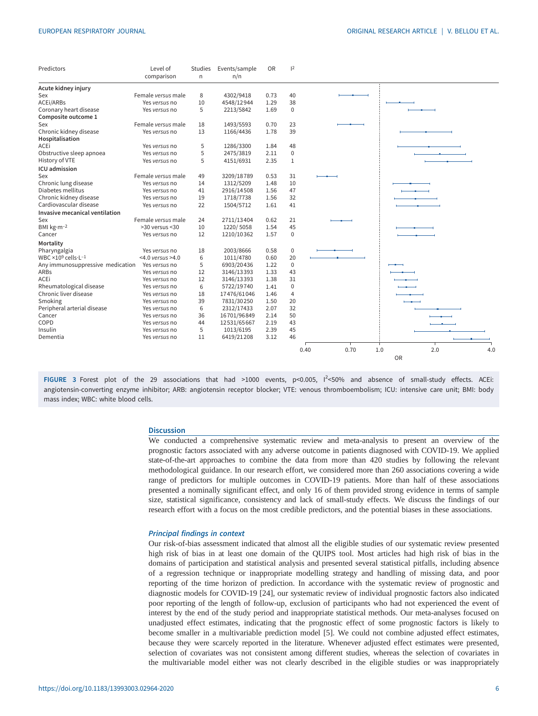<span id="page-5-0"></span>

| Predictors                                         | Level of<br>comparison | <b>Studies</b><br>$\mathsf{n}$ | Events/sample<br>n/n | OR   | 2              |      |      |                   |
|----------------------------------------------------|------------------------|--------------------------------|----------------------|------|----------------|------|------|-------------------|
| Acute kidney injury                                |                        |                                |                      |      |                |      |      |                   |
| Sex                                                | Female versus male     | 8                              | 4302/9418            | 0.73 | 40             |      |      |                   |
| ACEi/ARBs                                          | Yes versus no          | 10                             | 4548/12944           | 1.29 | 38             |      |      |                   |
| Coronary heart disease                             | Yes versus no          | 5                              | 2213/5842            | 1.69 | $\mathbf 0$    |      |      |                   |
| Composite outcome 1                                |                        |                                |                      |      |                |      |      |                   |
| Sex                                                | Female versus male     | 18                             | 1493/5593            | 0.70 | 23             |      |      |                   |
| Chronic kidney disease                             | Yes versus no          | 13                             | 1166/4436            | 1.78 | 39             |      |      |                   |
| Hospitalisation                                    |                        |                                |                      |      |                |      |      |                   |
| ACEi                                               | Yes versus no          | 5                              | 1286/3300            | 1.84 | 48             |      |      |                   |
| Obstructive sleep apnoea                           | Yes versus no          | 5                              | 2475/3819            | 2.11 | $\Omega$       |      |      |                   |
| History of VTE                                     | Yes versus no          | 5                              | 4151/6931            | 2.35 | $\mathbf{1}$   |      |      |                   |
| ICU admission                                      |                        |                                |                      |      |                |      |      |                   |
| Sex                                                | Female versus male     | 49                             | 3209/18789           | 0.53 | 31             |      |      |                   |
| Chronic lung disease                               | Yes versus no          | 14                             | 1312/5209            | 1.48 | 10             |      |      |                   |
| Diabetes mellitus                                  | Yes versus no          | 41                             | 2916/14508           | 1.56 | 47             |      |      |                   |
| Chronic kidney disease                             | Yes versus no          | 19                             | 1718/7738            | 1.56 | 32             |      |      |                   |
| Cardiovascular disease                             | Yes versus no          | 22                             | 1504/5712            | 1.61 | 41             |      |      |                   |
| Invasive mecanical ventilation                     |                        |                                |                      |      |                |      |      |                   |
| Sex                                                | Female versus male     | 24                             | 2711/13404           | 0.62 | 21             |      |      |                   |
| BMI kg·m-2                                         | >30 versus <30         | 10                             | 1220/5058            | 1.54 | 45             |      |      |                   |
| Cancer                                             | Yes versus no          | 12                             | 1210/10362           | 1.57 | $\Omega$       |      |      |                   |
| Mortality                                          |                        |                                |                      |      |                |      |      |                   |
| Pharyngalgia                                       | Yes versus no          | 18                             | 2003/8666            | 0.58 | $\pmb{0}$      |      |      |                   |
| WBC $\times$ 10 <sup>9</sup> cells·L <sup>-1</sup> | $<$ 4.0 versus >4.0    | 6                              | 1011/4780            | 0.60 | 20             |      |      |                   |
| Any immunosuppressive medication                   | Yes versus no          | 5                              | 6903/20436           | 1.22 | $\mathbf 0$    |      |      |                   |
| <b>ARBs</b>                                        | Yes versus no          | 12                             | 3146/13393           | 1.33 | 43             |      |      |                   |
| <b>ACEi</b>                                        | Yes versus no          | 12                             | 3146/13393           | 1.38 | 31             |      |      |                   |
| Rheumatological disease                            | Yes versus no          | 6                              | 5722/19740           | 1.41 | $\mathbf 0$    |      |      |                   |
| Chronic liver disease                              | Yes versus no          | 18                             | 17476/61046          | 1.46 | $\overline{4}$ |      |      |                   |
| Smoking                                            | Yes versus no          | 39                             | 7831/30250           | 1.50 | 20             |      |      |                   |
| Peripheral arterial disease                        | Yes versus no          | 6                              | 2312/17433           | 2.07 | 32             |      |      |                   |
| Cancer                                             | Yes versus no          | 36                             | 16701/96849          | 2.14 | 50             |      |      |                   |
| COPD                                               | Yes versus no          | 44                             | 12531/65667          | 2.19 | 43             |      |      |                   |
| Insulin                                            | Yes versus no          | 5                              | 1013/6195            | 2.39 | 45             |      |      |                   |
| Dementia                                           | Yes versus no          | 11                             | 6419/21208           | 3.12 | 46             |      |      |                   |
|                                                    |                        |                                |                      |      |                |      |      |                   |
|                                                    |                        |                                |                      |      |                | 0.40 | 0.70 | 1.0<br>2.0<br>4.0 |
|                                                    |                        |                                |                      |      |                |      |      | <b>OR</b>         |

FIGURE 3 Forest plot of the 29 associations that had >1000 events, p<0.005, I<sup>2</sup><50% and absence of small-study effects. ACEi: angiotensin-converting enzyme inhibitor; ARB: angiotensin receptor blocker; VTE: venous thromboembolism; ICU: intensive care unit; BMI: body mass index; WBC: white blood cells.

# **Discussion**

We conducted a comprehensive systematic review and meta-analysis to present an overview of the prognostic factors associated with any adverse outcome in patients diagnosed with COVID-19. We applied state-of-the-art approaches to combine the data from more than 420 studies by following the relevant methodological guidance. In our research effort, we considered more than 260 associations covering a wide range of predictors for multiple outcomes in COVID-19 patients. More than half of these associations presented a nominally significant effect, and only 16 of them provided strong evidence in terms of sample size, statistical significance, consistency and lack of small-study effects. We discuss the findings of our research effort with a focus on the most credible predictors, and the potential biases in these associations.

### Principal findings in context

Our risk-of-bias assessment indicated that almost all the eligible studies of our systematic review presented high risk of bias in at least one domain of the QUIPS tool. Most articles had high risk of bias in the domains of participation and statistical analysis and presented several statistical pitfalls, including absence of a regression technique or inappropriate modelling strategy and handling of missing data, and poor reporting of the time horizon of prediction. In accordance with the systematic review of prognostic and diagnostic models for COVID-19 [\[24](#page-9-0)], our systematic review of individual prognostic factors also indicated poor reporting of the length of follow-up, exclusion of participants who had not experienced the event of interest by the end of the study period and inappropriate statistical methods. Our meta-analyses focused on unadjusted effect estimates, indicating that the prognostic effect of some prognostic factors is likely to become smaller in a multivariable prediction model [\[5\]](#page-9-0). We could not combine adjusted effect estimates, because they were scarcely reported in the literature. Whenever adjusted effect estimates were presented, selection of covariates was not consistent among different studies, whereas the selection of covariates in the multivariable model either was not clearly described in the eligible studies or was inappropriately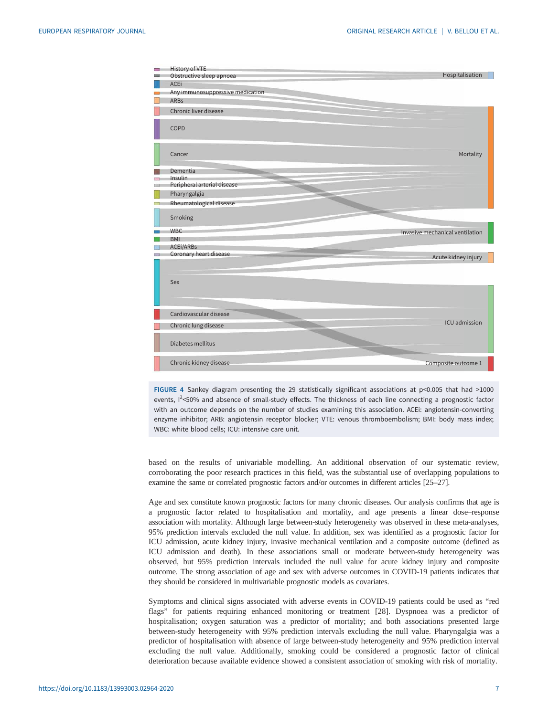<span id="page-6-0"></span>

| <b>COL</b>           | History of VTE                                |                                 |
|----------------------|-----------------------------------------------|---------------------------------|
|                      | Obstructive sleep apnoea                      | Hospitalisation                 |
|                      | <b>ACEi</b>                                   |                                 |
| <b>College</b>       | Any immunosuppressive medication              |                                 |
|                      | <b>ARBs</b>                                   |                                 |
|                      | Chronic liver disease                         |                                 |
|                      | COPD                                          |                                 |
|                      | Cancer                                        | Mortality                       |
|                      | Dementia                                      |                                 |
| $\sim$<br><b>ALL</b> | <b>Insulin</b><br>Peripheral arterial disease |                                 |
|                      |                                               |                                 |
|                      | Pharyngalgia                                  |                                 |
| <b>COL</b>           | Rheumatological disease                       |                                 |
|                      | Smoking                                       |                                 |
|                      |                                               |                                 |
|                      | <b>WBC</b>                                    | Invasive mechanical ventilation |
|                      | <b>BMI</b><br>ACEi/ARBs                       |                                 |
|                      | Coronary heart disease                        |                                 |
|                      |                                               | Acute kidney injury             |
|                      |                                               |                                 |
|                      |                                               |                                 |
|                      | <b>Sex</b>                                    |                                 |
|                      |                                               |                                 |
|                      |                                               |                                 |
|                      | Cardiovascular disease                        |                                 |
|                      | Chronic lung disease                          | ICU admission                   |
|                      |                                               |                                 |
|                      | Diabetes mellitus                             |                                 |
|                      | Chronic kidney disease                        | Composite outcome 1             |

FIGURE 4 Sankey diagram presenting the 29 statistically significant associations at p<0.005 that had >1000 events, I<sup>2</sup><50% and absence of small-study effects. The thickness of each line connecting a prognostic factor with an outcome depends on the number of studies examining this association. ACEi: angiotensin-converting enzyme inhibitor; ARB: angiotensin receptor blocker; VTE: venous thromboembolism; BMI: body mass index; WBC: white blood cells; ICU: intensive care unit.

based on the results of univariable modelling. An additional observation of our systematic review, corroborating the poor research practices in this field, was the substantial use of overlapping populations to examine the same or correlated prognostic factors and/or outcomes in different articles [\[25](#page-9-0)–[27](#page-9-0)].

Age and sex constitute known prognostic factors for many chronic diseases. Our analysis confirms that age is a prognostic factor related to hospitalisation and mortality, and age presents a linear dose–response association with mortality. Although large between-study heterogeneity was observed in these meta-analyses, 95% prediction intervals excluded the null value. In addition, sex was identified as a prognostic factor for ICU admission, acute kidney injury, invasive mechanical ventilation and a composite outcome (defined as ICU admission and death). In these associations small or moderate between-study heterogeneity was observed, but 95% prediction intervals included the null value for acute kidney injury and composite outcome. The strong association of age and sex with adverse outcomes in COVID-19 patients indicates that they should be considered in multivariable prognostic models as covariates.

Symptoms and clinical signs associated with adverse events in COVID-19 patients could be used as "red flags" for patients requiring enhanced monitoring or treatment [\[28](#page-9-0)]. Dyspnoea was a predictor of hospitalisation; oxygen saturation was a predictor of mortality; and both associations presented large between-study heterogeneity with 95% prediction intervals excluding the null value. Pharyngalgia was a predictor of hospitalisation with absence of large between-study heterogeneity and 95% prediction interval excluding the null value. Additionally, smoking could be considered a prognostic factor of clinical deterioration because available evidence showed a consistent association of smoking with risk of mortality.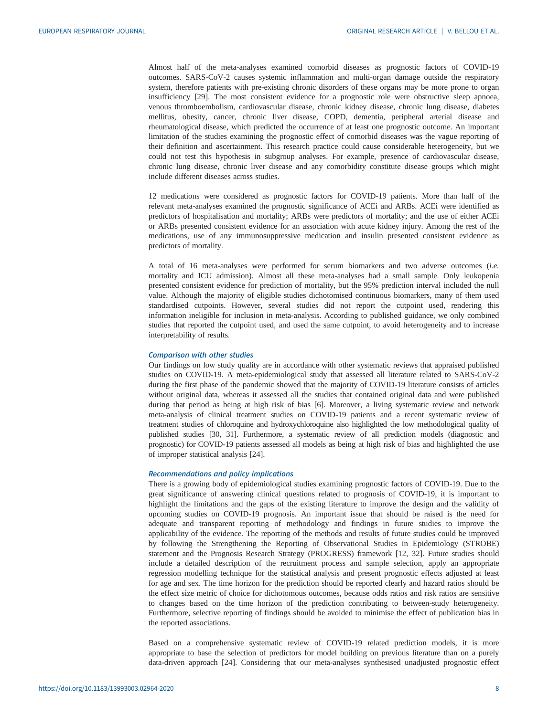Almost half of the meta-analyses examined comorbid diseases as prognostic factors of COVID-19 outcomes. SARS-CoV-2 causes systemic inflammation and multi-organ damage outside the respiratory system, therefore patients with pre-existing chronic disorders of these organs may be more prone to organ insufficiency [\[29](#page-9-0)]. The most consistent evidence for a prognostic role were obstructive sleep apnoea, venous thromboembolism, cardiovascular disease, chronic kidney disease, chronic lung disease, diabetes mellitus, obesity, cancer, chronic liver disease, COPD, dementia, peripheral arterial disease and rheumatological disease, which predicted the occurrence of at least one prognostic outcome. An important limitation of the studies examining the prognostic effect of comorbid diseases was the vague reporting of their definition and ascertainment. This research practice could cause considerable heterogeneity, but we could not test this hypothesis in subgroup analyses. For example, presence of cardiovascular disease, chronic lung disease, chronic liver disease and any comorbidity constitute disease groups which might include different diseases across studies.

12 medications were considered as prognostic factors for COVID-19 patients. More than half of the relevant meta-analyses examined the prognostic significance of ACEi and ARBs. ACEi were identified as predictors of hospitalisation and mortality; ARBs were predictors of mortality; and the use of either ACEi or ARBs presented consistent evidence for an association with acute kidney injury. Among the rest of the medications, use of any immunosuppressive medication and insulin presented consistent evidence as predictors of mortality.

A total of 16 meta-analyses were performed for serum biomarkers and two adverse outcomes (i.e. mortality and ICU admission). Almost all these meta-analyses had a small sample. Only leukopenia presented consistent evidence for prediction of mortality, but the 95% prediction interval included the null value. Although the majority of eligible studies dichotomised continuous biomarkers, many of them used standardised cutpoints. However, several studies did not report the cutpoint used, rendering this information ineligible for inclusion in meta-analysis. According to published guidance, we only combined studies that reported the cutpoint used, and used the same cutpoint, to avoid heterogeneity and to increase interpretability of results.

# Comparison with other studies

Our findings on low study quality are in accordance with other systematic reviews that appraised published studies on COVID-19. A meta-epidemiological study that assessed all literature related to SARS-CoV-2 during the first phase of the pandemic showed that the majority of COVID-19 literature consists of articles without original data, whereas it assessed all the studies that contained original data and were published during that period as being at high risk of bias [[6](#page-9-0)]. Moreover, a living systematic review and network meta-analysis of clinical treatment studies on COVID-19 patients and a recent systematic review of treatment studies of chloroquine and hydroxychloroquine also highlighted the low methodological quality of published studies [\[30, 31](#page-9-0)]. Furthermore, a systematic review of all prediction models (diagnostic and prognostic) for COVID-19 patients assessed all models as being at high risk of bias and highlighted the use of improper statistical analysis [\[24](#page-9-0)].

#### Recommendations and policy implications

There is a growing body of epidemiological studies examining prognostic factors of COVID-19. Due to the great significance of answering clinical questions related to prognosis of COVID-19, it is important to highlight the limitations and the gaps of the existing literature to improve the design and the validity of upcoming studies on COVID-19 prognosis. An important issue that should be raised is the need for adequate and transparent reporting of methodology and findings in future studies to improve the applicability of the evidence. The reporting of the methods and results of future studies could be improved by following the Strengthening the Reporting of Observational Studies in Epidemiology (STROBE) statement and the Prognosis Research Strategy (PROGRESS) framework [[12, 32\]](#page-9-0). Future studies should include a detailed description of the recruitment process and sample selection, apply an appropriate regression modelling technique for the statistical analysis and present prognostic effects adjusted at least for age and sex. The time horizon for the prediction should be reported clearly and hazard ratios should be the effect size metric of choice for dichotomous outcomes, because odds ratios and risk ratios are sensitive to changes based on the time horizon of the prediction contributing to between-study heterogeneity. Furthermore, selective reporting of findings should be avoided to minimise the effect of publication bias in the reported associations.

Based on a comprehensive systematic review of COVID-19 related prediction models, it is more appropriate to base the selection of predictors for model building on previous literature than on a purely data-driven approach [\[24](#page-9-0)]. Considering that our meta-analyses synthesised unadjusted prognostic effect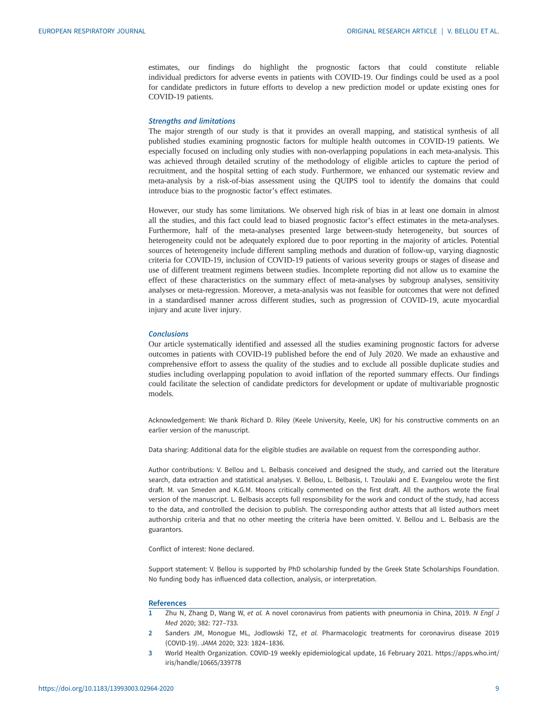<span id="page-8-0"></span>estimates, our findings do highlight the prognostic factors that could constitute reliable individual predictors for adverse events in patients with COVID-19. Our findings could be used as a pool for candidate predictors in future efforts to develop a new prediction model or update existing ones for COVID-19 patients.

#### Strengths and limitations

The major strength of our study is that it provides an overall mapping, and statistical synthesis of all published studies examining prognostic factors for multiple health outcomes in COVID-19 patients. We especially focused on including only studies with non-overlapping populations in each meta-analysis. This was achieved through detailed scrutiny of the methodology of eligible articles to capture the period of recruitment, and the hospital setting of each study. Furthermore, we enhanced our systematic review and meta-analysis by a risk-of-bias assessment using the QUIPS tool to identify the domains that could introduce bias to the prognostic factor's effect estimates.

However, our study has some limitations. We observed high risk of bias in at least one domain in almost all the studies, and this fact could lead to biased prognostic factor's effect estimates in the meta-analyses. Furthermore, half of the meta-analyses presented large between-study heterogeneity, but sources of heterogeneity could not be adequately explored due to poor reporting in the majority of articles. Potential sources of heterogeneity include different sampling methods and duration of follow-up, varying diagnostic criteria for COVID-19, inclusion of COVID-19 patients of various severity groups or stages of disease and use of different treatment regimens between studies. Incomplete reporting did not allow us to examine the effect of these characteristics on the summary effect of meta-analyses by subgroup analyses, sensitivity analyses or meta-regression. Moreover, a meta-analysis was not feasible for outcomes that were not defined in a standardised manner across different studies, such as progression of COVID-19, acute myocardial injury and acute liver injury.

# **Conclusions**

Our article systematically identified and assessed all the studies examining prognostic factors for adverse outcomes in patients with COVID-19 published before the end of July 2020. We made an exhaustive and comprehensive effort to assess the quality of the studies and to exclude all possible duplicate studies and studies including overlapping population to avoid inflation of the reported summary effects. Our findings could facilitate the selection of candidate predictors for development or update of multivariable prognostic models.

Acknowledgement: We thank Richard D. Riley (Keele University, Keele, UK) for his constructive comments on an earlier version of the manuscript.

Data sharing: Additional data for the eligible studies are available on request from the corresponding author.

Author contributions: V. Bellou and L. Belbasis conceived and designed the study, and carried out the literature search, data extraction and statistical analyses. V. Bellou, L. Belbasis, I. Tzoulaki and E. Evangelou wrote the first draft. M. van Smeden and K.G.M. Moons critically commented on the first draft. All the authors wrote the final version of the manuscript. L. Belbasis accepts full responsibility for the work and conduct of the study, had access to the data, and controlled the decision to publish. The corresponding author attests that all listed authors meet authorship criteria and that no other meeting the criteria have been omitted. V. Bellou and L. Belbasis are the guarantors.

Conflict of interest: None declared.

Support statement: V. Bellou is supported by PhD scholarship funded by the Greek State Scholarships Foundation. No funding body has influenced data collection, analysis, or interpretation.

#### **References**

- 1 Zhu N, Zhang D, Wang W, et al. A novel coronavirus from patients with pneumonia in China, 2019. N Engl J Med 2020; 382: 727–733.
- 2 Sanders JM, Monogue ML, Jodlowski TZ, et al. Pharmacologic treatments for coronavirus disease 2019 (COVID-19). JAMA 2020; 323: 1824–1836.
- 3 World Health Organization. COVID-19 weekly epidemiological update, 16 February 2021. [https://apps.who.int/](https://apps.who.int/iris/handle/10665/339778) [iris/handle/10665/339778](https://apps.who.int/iris/handle/10665/339778)